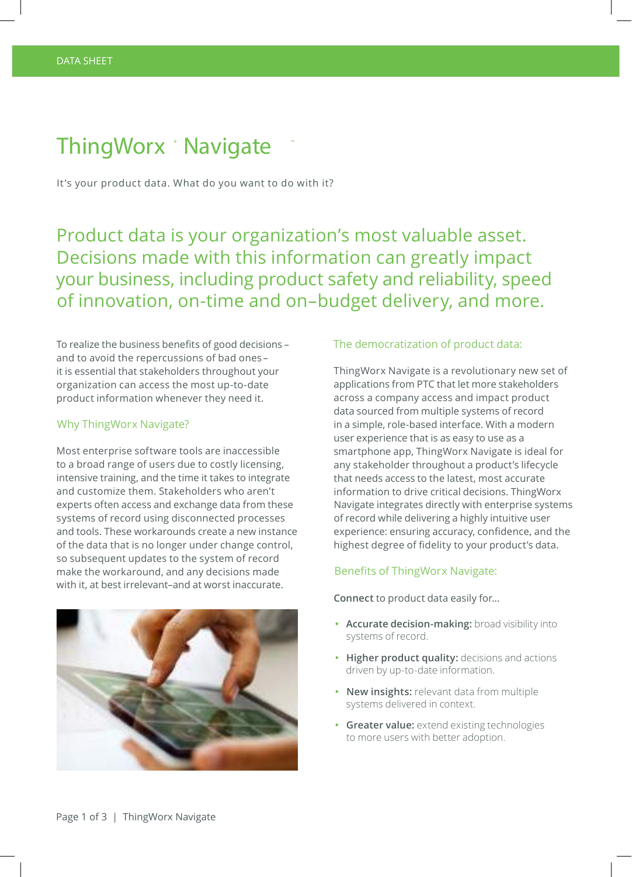# ThingWorx Mavigate

It's your product data. What do you want to do with it?

Product data is your organization's most valuable asset. Decisions made with this information can greatly impact your business, including product safety and reliability, speed of innovation, on-time and on–budget delivery, and more.

To realize the business benefits of good decisions – and to avoid the repercussions of bad ones– it is essential that stakeholders throughout your organization can access the most up-to-date product information whenever they need it.

# Why ThingWorx Navigate?

Most enterprise software tools are inaccessible to a broad range of users due to costly licensing, intensive training, and the time it takes to integrate and customize them. Stakeholders who aren't experts often access and exchange data from these systems of record using disconnected processes and tools. These workarounds create a new instance of the data that is no longer under change control, so subsequent updates to the system of record make the workaround, and any decisions made with it, at best irrelevant–and at worst inaccurate.



# The democratization of product data:

ThingWorx Navigate is a revolutionary new set of applications from PTC that let more stakeholders across a company access and impact product data sourced from multiple systems of record in a simple, role-based interface. With a modern user experience that is as easy to use as a smartphone app, ThingWorx Navigate is ideal for any stakeholder throughout a product's lifecycle that needs access to the latest, most accurate information to drive critical decisions. ThingWorx Navigate integrates directly with enterprise systems of record while delivering a highly intuitive user experience: ensuring accuracy, confidence, and the highest degree of fidelity to your product's data.

#### Benefits of ThingWorx Navigate:

**Connect** to product data easily for…

- **• Accurate decision-making:** broad visibility into systems of record.
- **• Higher product quality:** decisions and actions driven by up-to-date information.
- **• New insights:** relevant data from multiple systems delivered in context.
- **• Greater value:** extend existing technologies to more users with better adoption.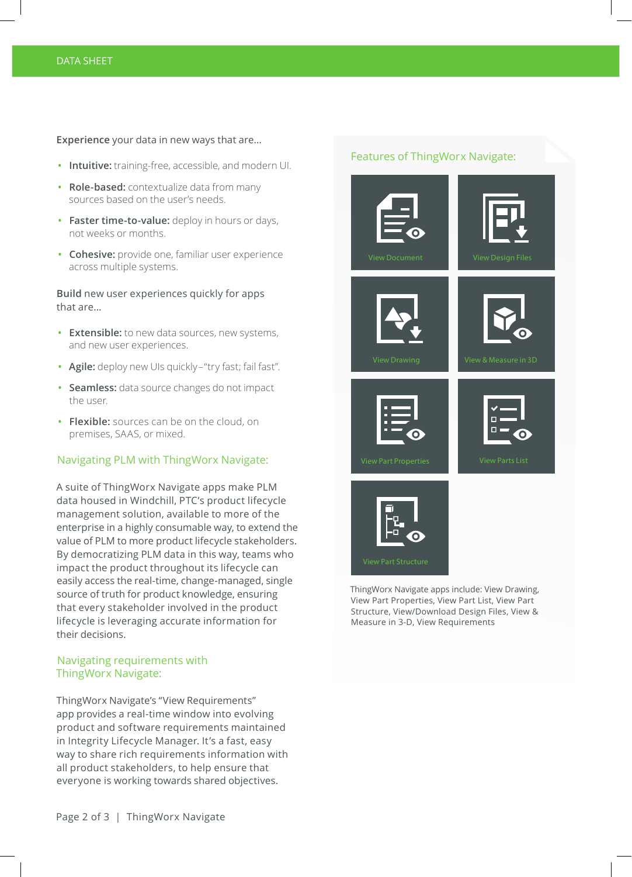#### DATA SHEET

#### **Experience** your data in new ways that are…

- **• Intuitive:** training-free, accessible, and modern UI.
- **• Role-based:** contextualize data from many sources based on the user's needs.
- **• Faster time-to-value:** deploy in hours or days, not weeks or months.
- **• Cohesive:** provide one, familiar user experience across multiple systems.

**Build** new user experiences quickly for apps that are…

- **• Extensible:** to new data sources, new systems, and new user experiences.
- **• Agile:** deploy new UIs quickly–"try fast; fail fast".
- **• Seamless:** data source changes do not impact the user.
- **• Flexible:** sources can be on the cloud, on premises, SAAS, or mixed.

## Navigating PLM with ThingWorx Navigate:

A suite of ThingWorx Navigate apps make PLM data housed in Windchill, PTC's product lifecycle management solution, available to more of the enterprise in a highly consumable way, to extend the value of PLM to more product lifecycle stakeholders. By democratizing PLM data in this way, teams who impact the product throughout its lifecycle can easily access the real-time, change-managed, single source of truth for product knowledge, ensuring that every stakeholder involved in the product lifecycle is leveraging accurate information for their decisions.

# Navigating requirements with ThingWorx Navigate:

ThingWorx Navigate's "View Requirements" app provides a real-time window into evolving product and software requirements maintained in Integrity Lifecycle Manager. It's a fast, easy way to share rich requirements information with all product stakeholders, to help ensure that everyone is working towards shared objectives.

# Features of ThingWorx Navigate:



View Part Properties, View Part List, View Part Structure, View/Download Design Files, View & Measure in 3-D, View Requirements